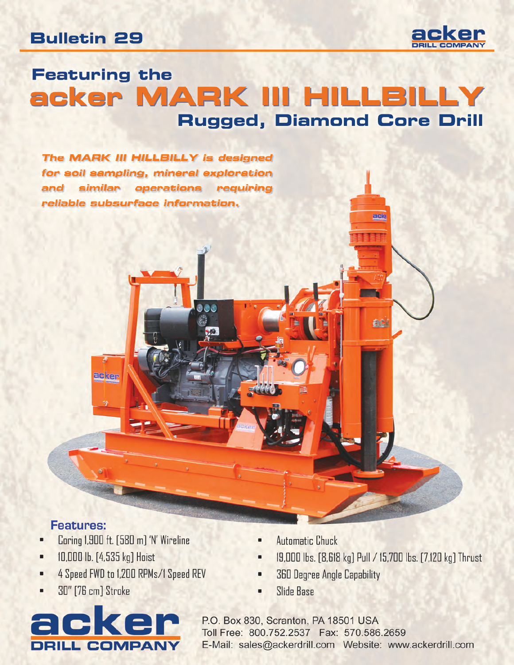#### **Bulletin 29**



# **Featuring the** acker MARK III HILLBILLY Rugged, Diamond Core Drill

The MARK III HILLBILLY is designed for soil sampling, mineral exploration and similar operations requiring reliable subsurface information.

#### **Features:**

Coring 1,900 ft. [580 m] 'N' Wireline ٠

acker

- 10,000 lb. [4,535 kg] Hoist ٠
- 4 Speed FWD to 1,200 RPMs/1 Speed REV ٠
- **30"** [76 cm] Stroke



- **Automatic Chuck**
- 19,000 lbs. [8,618 kg] Pull / 15,700 lbs. [7,120 kg] Thrust

ack

aci

- **360 Degree Angle Capability**
- **Slide Base**

P.O. Box 830, Scranton, PA 18501 USA Toll Free: 800.752.2537 Fax: 570.586.2659 E-Mail: sales@ackerdrill.com Website: www.ackerdrill.com